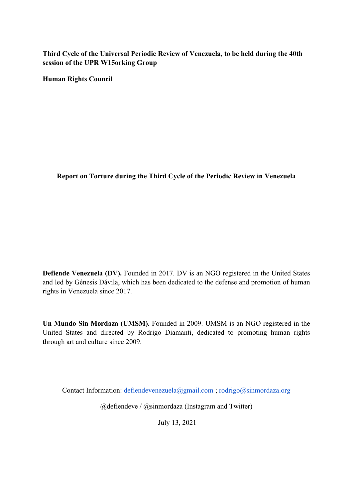**Third Cycle of the Universal Periodic Review of Venezuela, to be held during the 40th session of the UPR W15orking Group**

**Human Rights Council**

**Report on Torture during the Third Cycle of the Periodic Review in Venezuela**

**Defiende Venezuela (DV).** Founded in 2017. DV is an NGO registered in the United States and led by Génesis Dávila, which has been dedicated to the defense and promotion of human rights in Venezuela since 2017.

**Un Mundo Sin Mordaza (UMSM).** Founded in 2009. UMSM is an NGO registered in the United States and directed by Rodrigo Diamanti, dedicated to promoting human rights through art and culture since 2009.

Contact Information: defiendevenezuela@gmail.com ; rodrigo@sinmordaza.org

@defiendeve / @sinmordaza (Instagram and Twitter)

July 13, 2021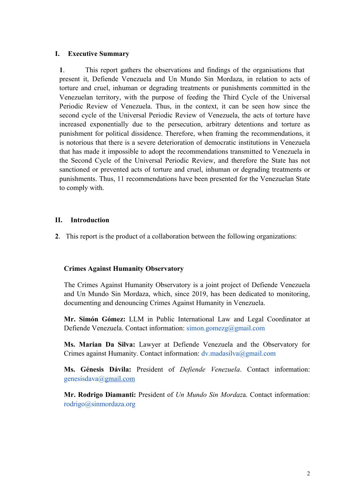## **I. Executive Summary**

**1**. This repor<sup>t</sup> gathers the observations and findings of the organisations that presen<sup>t</sup> it, Defiende Venezuela and Un Mundo Sin Mordaza, in relation to acts of torture and cruel, inhuman or degrading treatments or punishments committed in the Venezuelan territory, with the purpose of feeding the Third Cycle of the Universal Periodic Review of Venezuela. Thus, in the context, it can be seen how since the second cycle of the Universal Periodic Review of Venezuela, the acts of torture have increased exponentially due to the persecution, arbitrary detentions and torture as punishment for political dissidence. Therefore, when framing the recommendations, it is notorious that there is <sup>a</sup> severe deterioration of democratic institutions in Venezuela that has made it impossible to adopt the recommendations transmitted to Venezuela in the Second Cycle of the Universal Periodic Review, and therefore the State has not sanctioned or prevented acts of torture and cruel, inhuman or degrading treatments or punishments. Thus, 11 recommendations have been presented for the Venezuelan State to comply with.

### **II. Introduction**

**2**. This repor<sup>t</sup> is the product of <sup>a</sup> collaboration between the following organizations:

#### **Crimes Against Humanity Observatory**

The Crimes Against Humanity Observatory is <sup>a</sup> joint project of Defiende Venezuela and Un Mundo Sin Mordaza, which, since 2019, has been dedicated to monitoring, documenting and denouncing Crimes Against Humanity in Venezuela.

**Mr. Simón Gómez:** LLM in Public International Law and Legal Coordinator at Defiende Venezuela. Contact information:  $\text{simon.gomezg}(\partial \text{gmail.com})$ 

**Ms. Marian Da Silva:** Lawyer at Defiende Venezuela and the Observatory for Crimes against Humanity. Contact information:  $dv$  madasilva@gmail.com

**Ms. Génesis Dávila:** President of *Defiende Venezuela*. Contact information: genesisdava@gmail.com

**Mr. Rodrigo Diamanti:** President of *Un Mundo Sin Mordaz*a. Contact information: rodrigo@sinmordaza.org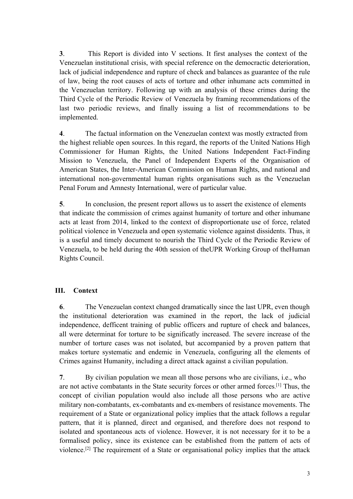**3**. This Report is divided into V sections. It first analyses the context of the Venezuelan institutional crisis, with special reference on the democractic deterioration, lack of judicial independence and rupture of check and balances as guarantee of the rule of law, being the root causes of acts of torture and other inhumane acts committed in the Venezuelan territory. Following up with an analysis of these crimes during the Third Cycle of the Periodic Review of Venezuela by framing recommendations of the last two periodic reviews, and finally issuing <sup>a</sup> list of recommendations to be implemented.

**4**. The factual information on the Venezuelan context was mostly extracted from the highest reliable open sources. In this regard, the reports of the United Nations High Commissioner for Human Rights, the United Nations Independent Fact-Finding Mission to Venezuela, the Panel of Independent Experts of the Organisation of American States, the Inter-American Commission on Human Rights, and national and international non-governmental human rights organisations such as the Venezuelan Penal Forum and Amnesty International, were of particular value.

**5**. In conclusion, the presen<sup>t</sup> repor<sup>t</sup> allows us to assert the existence of elements that indicate the commission of crimes against humanity of torture and other inhumane acts at least from 2014, linked to the context of disproportionate use of force, related political violence in Venezuela and open systematic violence against dissidents. Thus, it is <sup>a</sup> useful and timely document to nourish the Third Cycle of the Periodic Review of Venezuela, to be held during the 40th session of theUPR Working Group of theHuman Rights Council.

# **III. Context**

**6**. The Venezuelan context changed dramatically since the last UPR, even though the institutional deterioration was examined in the report, the lack of judicial independence, defficent training of public officers and rupture of check and balances, all were determinat for torture to be significatly increased. The severe increase of the number of torture cases was not isolated, but accompanied by <sup>a</sup> proven pattern that makes torture systematic and endemic in Venezuela, configuring all the elements of Crimes against Humanity, including <sup>a</sup> direct attack against <sup>a</sup> civilian population.

**7**. By civilian population we mean all those persons who are civilians, i.e., who are not active combatants in the State security forces or other armed forces.<sup>[1]</sup> Thus, the concep<sup>t</sup> of civilian population would also include all those persons who are active military non-combatants, ex-combatants and ex-members of resistance movements. The requirement of <sup>a</sup> State or organizational policy implies that the attack follows <sup>a</sup> regular pattern, that it is planned, direct and organised, and therefore does not respond to isolated and spontaneous acts of violence. However, it is not necessary for it to be <sup>a</sup> formalised policy, since its existence can be established from the pattern of acts of violence.<sup>[2]</sup> The requirement of a State or organisational policy implies that the attack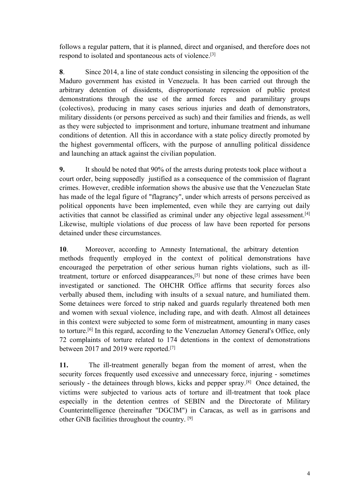follows <sup>a</sup> regular pattern, that it is planned, direct and organised, and therefore does not respond to isolated and spontaneous acts of violence.<sup>[3]</sup>

**8**. Since 2014, <sup>a</sup> line of state conduct consisting in silencing the opposition of the Maduro governmen<sup>t</sup> has existed in Venezuela. It has been carried out through the arbitrary detention of dissidents, disproportionate repression of public protest demonstrations through the use of the armed forces and paramilitary groups (colectivos), producing in many cases serious injuries and death of demonstrators, military dissidents (or persons perceived as such) and their families and friends, as well as they were subjected to imprisonment and torture, inhumane treatment and inhumane conditions of detention. All this in accordance with <sup>a</sup> state policy directly promoted by the highest governmental officers, with the purpose of annulling political dissidence and launching an attack against the civilian population.

**9.** It should be noted that 90% of the arrests during protests took place without <sup>a</sup> court order, being supposedly justified as <sup>a</sup> consequence of the commission of flagrant crimes. However, credible information shows the abusive use that the Venezuelan State has made of the legal figure of "flagrancy", under which arrests of persons perceived as political opponents have been implemented, even while they are carrying out daily activities that cannot be classified as criminal under any objective legal assessment.<sup>[4]</sup> Likewise, multiple violations of due process of law have been reported for persons detained under these circumstances.

**10**. Moreover, according to Amnesty International, the arbitrary detention methods frequently employed in the context of political demonstrations have encouraged the perpetration of other serious human rights violations, such as illtreatment, torture or enforced disappearances, [5] but none of these crimes have been investigated or sanctioned. The OHCHR Office affirms that security forces also verbally abused them, including with insults of <sup>a</sup> sexual nature, and humiliated them. Some detainees were forced to strip naked and guards regularly threatened both men and women with sexual violence, including rape, and with death. Almost all detainees in this context were subjected to some form of mistreatment, amounting in many cases to torture.<sup>[6]</sup> In this regard, according to the Venezuelan Attorney General's Office, only 72 complaints of torture related to 174 detentions in the context of demonstrations between 2017 and 2019 were reported.<sup>[7]</sup>

**11.** The ill-treatment generally began from the moment of arrest, when the security forces frequently used excessive and unnecessary force, injuring - sometimes seriously - the detainees through blows, kicks and pepper spray. [8] Once detained, the victims were subjected to various acts of torture and ill-treatment that took place especially in the detention centres of SEBIN and the Directorate of Military Counterintelligence (hereinafter "DGCIM") in Caracas, as well as in garrisons and other GNB facilities throughout the country. [9]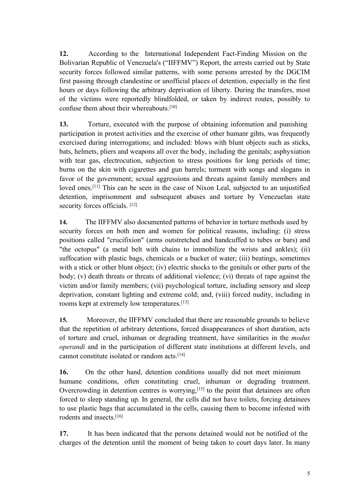**12.** According to the International Independent Fact-Finding Mission on the Bolivarian Republic of Venezuela's ("IIFFMV") Report, the arrests carried out by State security forces followed similar patterns, with some persons arrested by the DGCIM first passing through clandestine or unofficial places of detention, especially in the first hours or days following the arbitrary deprivation of liberty. During the transfers, most of the victims were reportedly blindfolded, or taken by indirect routes, possibly to confuse them about their whereabouts. [10]

**13.** Torture, executed with the purpose of obtaining information and punishing participation in protest activities and the exercise of other humanr gihts, was frequently exercised during interrogations; and included: blows with blunt objects such as sticks, bats, helmets, pliers and weapons all over the body, including the genitals; asphyxiation with tear gas, electrocution, subjection to stress positions for long periods of time; burns on the skin with cigarettes and gun barrels; torment with songs and slogans in favor of the government; sexual aggressions and threats against family members and loved ones.<sup>[11]</sup> This can be seen in the case of Nixon Leal, subjected to an unjustified detention, imprisonment and subsequent abuses and torture by Venezuelan state security forces officials. [12]

**14.** The IIFFMV also documented patterns of behavior in torture methods used by security forces on both men and women for political reasons, including: (i) stress positions called "crucifixion" (arms outstretched and handcuffed to tubes or bars) and "the octopus" (a metal belt with chains to immobilize the wrists and ankles); (ii) suffocation with plastic bags, chemicals or <sup>a</sup> bucket of water; (iii) beatings, sometimes with <sup>a</sup> stick or other blunt object; (iv) electric shocks to the genitals or other parts of the body; (v) death threats or threats of additional violence; (vi) threats of rape against the victim and/or family members; (vii) psychological torture, including sensory and sleep deprivation, constant lighting and extreme cold; and, (viii) forced nudity, including in rooms kept at extremely low temperatures. [13]

**15.** Moreover, the IIFFMV concluded that there are reasonable grounds to believe that the repetition of arbitrary detentions, forced disappearances of short duration, acts of torture and cruel, inhuman or degrading treatment, have similarities in the *modus operandi* and in the participation of different state institutions at different levels, and cannot constitute isolated or random acts. [14]

**16.** On the other hand, detention conditions usually did not meet minimum humane conditions, often constituting cruel, inhuman or degrading treatment. Overcrowding in detention centres is worrying,<sup>[15]</sup> to the point that detainees are often forced to sleep standing up. In general, the cells did not have toilets, forcing detainees to use plastic bags that accumulated in the cells, causing them to become infested with rodents and insects. [16]

**17.** It has been indicated that the persons detained would not be notified of the charges of the detention until the moment of being taken to court days later. In many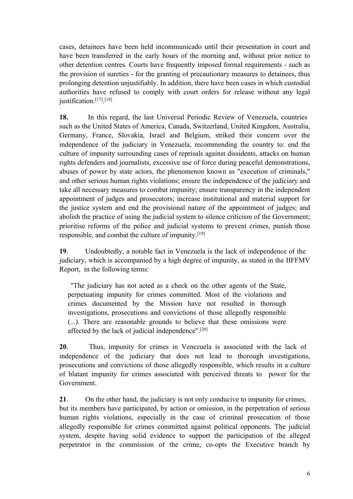cases, detainees have been held incommunicado until their presentation in court and have been transferred in the early hours of the morning and, without prior notice to other detention centres. Courts have frequently imposed formal requirements - such as the provision of sureties - for the granting of precautionary measures to detainees, thus prolonging detention unjustifiably. In addition, there have been cases in which custodial authorities have refused to comply with court orders for release without any legal justification.<sup>[17]</sup>.<sup>[18]</sup>

**18.** In this regard, the last Universal Periodic Review of Venezuela, countries such as the United States of America, Canada, Switzerland, United Kingdom, Australia, Germany, France, Slovakia, Israel and Belgium, striked their concern over the independence of the judiciary in Venezuela, recommending the country to: end the culture of impunity surrounding cases of reprisals against dissidents, attacks on human rights defenders and journalists, excessive use of force during peaceful demonstrations, abuses of power by state actors, the phenomenon known as "execution of criminals," and other serious human rights violations; ensure the independence of the judiciary and take all necessary measures to combat impunity; ensure transparency in the independent appointment of judges and prosecutors; increase institutional and material suppor<sup>t</sup> for the justice system and end the provisional nature of the appointment of judges; and abolish the practice of using the judicial system to silence criticism of the Government; prioritise reforms of the police and judicial systems to preven<sup>t</sup> crimes, punish those responsible, and combat the culture of impunity. [19]

**19**. Undoubtedly, <sup>a</sup> notable fact in Venezuela is the lack of independence of the judiciary, which is accompanied by <sup>a</sup> high degree of impunity, as stated in the IIFFMV Report, in the following terms:

"The judiciary has not acted as <sup>a</sup> check on the other agents of the State, perpetuating impunity for crimes committed. Most of the violations and crimes documented by the Mission have not resulted in thorough investigations, prosecutions and convictions of those allegedly responsible (...). There are reasonable grounds to believe that these omissions were affected by the lack of judicial independence".<sup>[20]</sup>

**20**. Thus, impunity for crimes in Venezuela is associated with the lack of independence of the judiciary that does not lead to thorough investigations, prosecutions and convictions of those allegedly responsible, which results in <sup>a</sup> culture of blatant impunity for crimes associated with perceived threats to power for the Government.

**21**. On the other hand, the judiciary is not only conducive to impunity for crimes, but its members have participated, by action or omission, in the perpetration of serious human rights violations, especially in the case of criminal prosecution of those allegedly responsible for crimes committed against political opponents. The judicial system, despite having solid evidence to suppor<sup>t</sup> the participation of the alleged perpetrator in the commission of the crime, co-opts the Executive branch by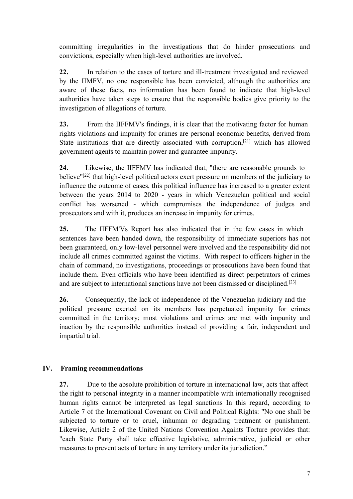committing irregularities in the investigations that do hinder prosecutions and convictions, especially when high-level authorities are involved.

**22.** In relation to the cases of torture and ill-treatment investigated and reviewed by the IIMFV, no one responsible has been convicted, although the authorities are aware of these facts, no information has been found to indicate that high-level authorities have taken steps to ensure that the responsible bodies give priority to the investigation of allegations of torture.

**23.** From the IIFFMV's findings, it is clear that the motivating factor for human rights violations and impunity for crimes are personal economic benefits, derived from State institutions that are directly associated with corruption,<sup>[21]</sup> which has allowed governmen<sup>t</sup> agents to maintain power and guarantee impunity.

**24.** Likewise, the IIFFMV has indicated that, "there are reasonable grounds to believe"<sup>[22]</sup> that high-level political actors exert pressure on members of the judiciary to influence the outcome of cases, this political influence has increased to <sup>a</sup> greater extent between the years 2014 to 2020 - years in which Venezuelan political and social conflict has worsened - which compromises the independence of judges and prosecutors and with it, produces an increase in impunity for crimes.

**25.** The IIFFM'Vs Report has also indicated that in the few cases in which sentences have been handed down, the responsibility of immediate superiors has not been guaranteed, only low-level personnel were involved and the responsibility did not include all crimes committed against the victims. With respec<sup>t</sup> to officers higher in the chain of command, no investigations, proceedings or prosecutions have been found that include them. Even officials who have been identified as direct perpetrators of crimes and are subject to international sanctions have not been dismissed or disciplined. [23]

**26.** Consequently, the lack of independence of the Venezuelan judiciary and the political pressure exerted on its members has perpetuated impunity for crimes committed in the territory; most violations and crimes are met with impunity and inaction by the responsible authorities instead of providing <sup>a</sup> fair, independent and impartial trial.

# **IV. Framing recommendations**

**27.** Due to the absolute prohibition of torture in international law, acts that affect the right to personal integrity in <sup>a</sup> manner incompatible with internationally recognised human rights cannot be interpreted as legal sanctions In this regard, according to Article 7 of the International Covenant on Civil and Political Rights: "No one shall be subjected to torture or to cruel, inhuman or degrading treatment or punishment. Likewise, Article 2 of the United Nations Convention Againts Torture provides that: "each State Party shall take effective legislative, administrative, judicial or other measures to preven<sup>t</sup> acts of torture in any territory under its jurisdiction."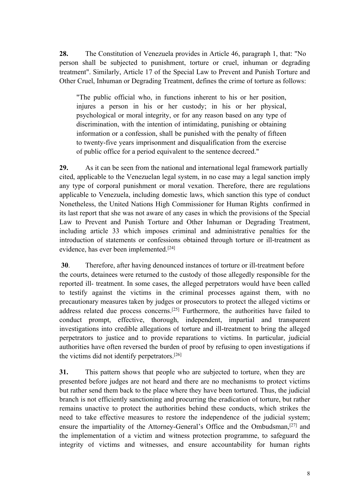**28.** The Constitution of Venezuela provides in Article 46, paragraph 1, that: "No person shall be subjected to punishment, torture or cruel, inhuman or degrading treatment". Similarly, Article 17 of the Special Law to Prevent and Punish Torture and Other Cruel, Inhuman or Degrading Treatment, defines the crime of torture as follows:

"The public official who, in functions inherent to his or her position, injures <sup>a</sup> person in his or her custody; in his or her physical, psychological or moral integrity, or for any reason based on any type of discrimination, with the intention of intimidating, punishing or obtaining information or <sup>a</sup> confession, shall be punished with the penalty of fifteen to twenty-five years imprisonment and disqualification from the exercise of public office for <sup>a</sup> period equivalent to the sentence decreed."

**29.** As it can be seen from the national and international legal framework partially cited, applicable to the Venezuelan legal system, in no case may <sup>a</sup> legal sanction imply any type of corporal punishment or moral vexation. Therefore, there are regulations applicable to Venezuela, including domestic laws, which sanction this type of conduct Nonetheless, the United Nations High Commissioner for Human Rights confirmed in its last repor<sup>t</sup> that she was not aware of any cases in which the provisions of the Special Law to Prevent and Punish Torture and Other Inhuman or Degrading Treatment, including article 33 which imposes criminal and administrative penalties for the introduction of statements or confessions obtained through torture or ill-treatment as evidence, has ever been implemented.<sup>[24]</sup>

**30**. Therefore, after having denounced instances of torture or ill-treatment before the courts, detainees were returned to the custody of those allegedly responsible for the reported ill- treatment. In some cases, the alleged perpetrators would have been called to testify against the victims in the criminal processes against them, with no precautionary measures taken by judges or prosecutors to protect the alleged victims or address related due process concerns.<sup>[25]</sup> Furthermore, the authorities have failed to conduct prompt, effective, thorough, independent, impartial and transparent investigations into credible allegations of torture and ill-treatment to bring the alleged perpetrators to justice and to provide reparations to victims. In particular, judicial authorities have often reversed the burden of proof by refusing to open investigations if the victims did not identify perpetrators. [26]

**31.** This pattern shows that people who are subjected to torture, when they are presented before judges are not heard and there are no mechanisms to protect victims but rather send them back to the place where they have been tortured. Thus, the judicial branch is not efficiently sanctioning and procurring the eradication of torture, but rather remains unactive to protect the authorities behind these conducts, which strikes the need to take effective measures to restore the independence of the judicial system; ensure the impartiality of the Attorney-General's Office and the Ombudsman,<sup>[27]</sup> and the implementation of <sup>a</sup> victim and witness protection programme, to safeguard the integrity of victims and witnesses, and ensure accountability for human rights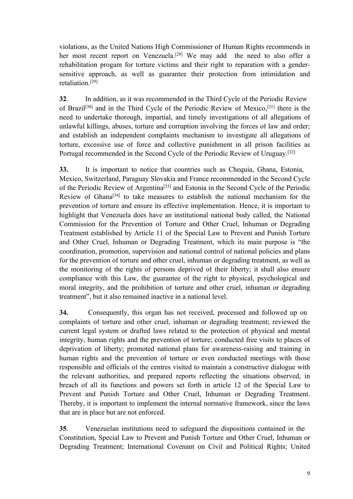violations, as the United Nations High Commissioner of Human Rights recommends in her most recent repor<sup>t</sup> on Venezuela. [28] We may add the need to also offer <sup>a</sup> rehabilitation progam for torture victims and their right to reparation with <sup>a</sup> gendersensitive approach, as well as guarantee their protection from intimidation and retaliation. [29]

**32**. In addition, as it was recommended in the Third Cycle of the Periodic Review of Brazil<sup>[30]</sup> and in the Third Cycle of the Periodic Review of Mexico,<sup>[31]</sup> there is the need to undertake thorough, impartial, and timely investigations of all allegations of unlawful killings, abuses, torture and corruption involving the forces of law and order; and establish an independent complaints mechanism to investigate all allegations of torture, excessive use of force and collective punishment in all prison facilities as Portugal recommended in the Second Cycle of the Periodic Review of Uruguay.<sup>[32]</sup>

**33.** It is important to notice that countries such as Chequia, Ghana, Estonia, Mexico, Switzerland, Paraguay Slovakia and France recommended in the Second Cycle of the Periodic Review of Argentina<sup>[33]</sup> and Estonia in the Second Cycle of the Periodic Review of Ghana<sup>[34]</sup> to take measures to establish the national mechanism for the prevention of torture and ensure its effective implementation. Hence, it is important to highlight that Venezuela does have an institutional national body called, the National Commission for the Prevention of Torture and Other Cruel, Inhuman or Degrading Treatment established by Article 11 of the Special Law to Prevent and Punish Torture and Other Cruel, Inhuman or Degrading Treatment, which its main purpose is "the coordination, promotion, supervision and national control of national policies and plans for the prevention of torture and other cruel, inhuman or degrading treatment, as well as the monitoring of the rights of persons deprived of their liberty; it shall also ensure compliance with this Law, the guarantee of the right to physical, psychological and moral integrity, and the prohibition of torture and other cruel, inhuman or degrading treatment", but it also remained inactive in <sup>a</sup> national level.

**34.** Consequently, this organ has not received, processed and followed up on complaints of torture and other cruel, inhuman or degrading treatment; reviewed the current legal system or drafted laws related to the protection of physical and mental integrity, human rights and the prevention of torture; conducted free visits to places of deprivation of liberty; promoted national plans for awareness-raising and training in human rights and the prevention of torture or even conducted meetings with those responsible and officials of the centres visited to maintain <sup>a</sup> constructive dialogue with the relevant authorities, and prepared reports reflecting the situations observed, in breach of all its functions and powers set forth in article 12 of the Special Law to Prevent and Punish Torture and Other Cruel, Inhuman or Degrading Treatment. Thereby, it is important to implement the internal normative framework, since the laws that are in place but are not enforced.

**35**. Venezuelan institutions need to safeguard the dispositions contained in the Constitution, Special Law to Prevent and Punish Torture and Other Cruel, Inhuman or Degrading Treatment; International Covenant on Civil and Political Rights; United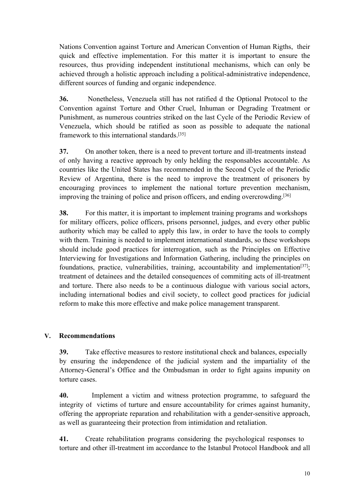Nations Convention against Torture and American Convention of Human Rigths, their quick and effective implementation. For this matter it is important to ensure the resources, thus providing independent institutional mechanisms, which can only be achieved through <sup>a</sup> holistic approach including <sup>a</sup> political-administrative independence, different sources of funding and organic independence.

**36.** Nonetheless, Venezuela still has not ratified d the Optional Protocol to the Convention against Torture and Other Cruel, Inhuman or Degrading Treatment or Punishment, as numerous countries striked on the last Cycle of the Periodic Review of Venezuela, which should be ratified as soon as possible to adequate the national framework to this international standards. [35]

**37.** On another token, there is <sup>a</sup> need to preven<sup>t</sup> torture and ill-treatments instead of only having <sup>a</sup> reactive approach by only helding the responsables accountable. As countries like the United States has recommended in the Second Cycle of the Periodic Review of Argentina, there is the need to improve the treatment of prisoners by encouraging provinces to implement the national torture prevention mechanism, improving the training of police and prison officers, and ending overcrowding.<sup>[36]</sup>

**38.** For this matter, it is important to implement training programs and workshops for military officers, police officers, prisons personnel, judges, and every other public authority which may be called to apply this law, in order to have the tools to comply with them. Training is needed to implement international standards, so these workshops should include good practices for interrogation, such as the Principles on Effective Interviewing for Investigations and Information Gathering, including the principles on foundations, practice, vulnerabilities, training, accountability and implementation<sup>[37]</sup>; treatment of detainees and the detailed consequences of commiting acts of ill-treatment and torture. There also needs to be <sup>a</sup> continuous dialogue with various social actors, including international bodies and civil society, to collect good practices for judicial reform to make this more effective and make police managemen<sup>t</sup> transparent.

# **V. Recommendations**

**39.** Take effective measures to restore institutional check and balances, especially by ensuring the independence of the judicial system and the impartiality of the Attorney-General'<sup>s</sup> Office and the Ombudsman in order to fight agains impunity on torture cases.

**40.** Implement <sup>a</sup> victim and witness protection programme, to safeguard the integrity of victims of turture and ensure accountability for crimes against humanity, offering the appropriate reparation and rehabilitation with <sup>a</sup> gender-sensitive approach, as well as guaranteeing their protection from intimidation and retaliation.

**41.** Create rehabilitation programs considering the psychological responses to torture and other ill-treatment im accordance to the Istanbul Protocol Handbook and all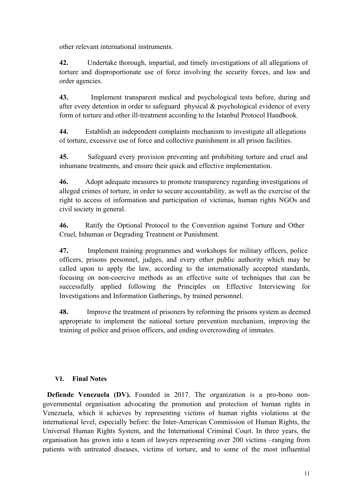other relevant international instruments.

**42.** Undertake thorough, impartial, and timely investigations of all allegations of torture and disproportionate use of force involving the security forces, and law and order agencies.

**43.** Implement transparent medical and psychological tests before, during and after every detention in order to safeguard physical  $\&$  psychological evidence of every form of torture and other ill-treatment according to the Istanbul Protocol Handbook.

**44.** Establish an independent complaints mechanism to investigate all allegations of torture, excessive use of force and collective punishment in all prison facilities.

**45.** Safeguard every provision preventing anf prohibiting torture and cruel and inhumane treatments, and ensure their quick and effective implementation.

**46.** Adopt adequate measures to promote transparency regarding investigations of alleged crimes of torture, in order to secure accountability, as well as the exercise of the right to access of information and participation of victimas, human rights NGOs and civil society in general.

**46.** Ratify the Optional Protocol to the Convention against Torture and Other Cruel, Inhuman or Degrading Treatment or Punishment.

**47.** Implement training programmes and workshops for military officers, police officers, prisons personnel, judges, and every other public authority which may be called upon to apply the law, according to the internationally accepted standards, focusing on non-coercive methods as an effective suite of techniques that can be successfully applied following the Principles on Effective Interviewing for Investigations and Information Gatherings, by trained personnel.

**48.** Improve the treatment of prisoners by reforming the prisons system as deemed appropriate to implement the national torture prevention mechanism, improving the training of police and prison officers, and ending overcrowding of immates.

# **VI. Final Notes**

**Defiende Venezuela (DV).** Founded in 2017. The organization is <sup>a</sup> pro-bono nongovernmental organisation advocating the promotion and protection of human rights in Venezuela, which it achieves by representing victims of human rights violations at the international level, especially before: the Inter-American Commission of Human Rights, the Universal Human Rights System, and the International Criminal Court. In three years, the organisation has grown into <sup>a</sup> team of lawyers representing over 200 victims –ranging from patients with untreated diseases, victims of torture, and to some of the most influential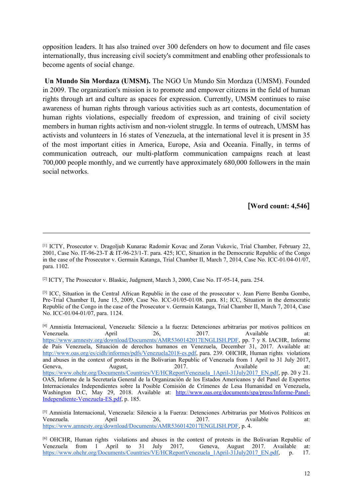opposition leaders. It has also trained over 300 defenders on how to document and file cases internationally, thus increasing civil society's commitment and enabling other professionals to become agents of social change.

**Un Mundo Sin Mordaza (UMSM).** The NGO Un Mundo Sin Mordaza (UMSM). Founded in 2009. The organization's mission is to promote and empower citizens in the field of human rights through art and culture as spaces for expression. Currently, UMSM continues to raise awareness of human rights through various activities such as art contests, documentation of human rights violations, especially freedom of expression, and training of civil society members in human rights activism and non-violent struggle. In terms of outreach, UMSM has activists and volunteers in 16 states of Venezuela, at the international level it is presen<sup>t</sup> in 35 of the most important cities in America, Europe, Asia and Oceania. Finally, in terms of communication outreach, our multi-platform communication campaigns reach at least 700,000 people monthly, and we currently have approximately 680,000 followers in the main social networks.

## **[Word count: 4,546]**

<sup>[2]</sup> ICTY, The Prosecutor v. Blaskic, Judgment, March 3, 2000, Case No. IT-95-14, para. 254.

<sup>[3]</sup> ICC, Situation in the Central African Republic in the case of the prosecutor v. Jean Pierre Bemba Gombo, Pre-Trial Chamber II, June 15, 2009, Case No. ICC-01/05-01/08. para. 81; ICC, Situation in the democratic Republic of the Congo in the case of the Prosecutor v. Germain Katanga, Trial Chamber II, March 7, 2014, Case No. ICC-01/04-01/07, para. 1124.

<sup>[1]</sup> ICTY, Prosecutor v. Dragoljub Kunarac Radomir Kovac and Zoran Vukovic, Trial Chamber, February 22, 2001, Case No. IT-96-23-T & IT-96-23/1-T. para. 425; ICC, Situation in the Democratic Republic of the Congo in the case of the Prosecutor v. Germain Katanga, Trial Chamber II, March 7, 2014, Case No. ICC-01/04-01/07, para. 1102.

<sup>[4]</sup> Amnistía Internacional, Venezuela: Silencio <sup>a</sup> la fuerza: Detenciones arbitrarias por motivos políticos en Venezuela. April 26, 2017. Available at: <https://www.amnesty.org/download/Documents/AMR5360142017ENGLISH.PDF>, pp. 7 y 8. IACHR, Informe de País Venezuela, Situación de derechos humanos en Venezuela, December 31, 2017. Available at: <http://www.oas.org/es/cidh/informes/pdfs/Venezuela2018-es.pdf>, para. 239. OHCHR, Human rights violations and abuses in the context of protests in the Bolivarian Republic of Venezuela from 1 April to 31 July 2017, Geneva, August, 2017. Available at: [https://www.ohchr.org/Documents/Countries/VE/HCReportVenezuela\\_1April-31July2017\\_EN.pdf](https://www.ohchr.org/Documents/Countries/VE/HCReportVenezuela_1April-31July2017_EN.pdf), pp. 20 y 21. OAS, Informe de la Secretaría General de la Organización de los Estados Americanos y del Panel de Expertos Internacionales Independientes sobre la Posible Comisión de Crímenes de Lesa Humanidad en Venezuela, Washington D.C, May 29, 2018. Available at: [http://www.oas.org/documents/spa/press/Informe-Panel-](http://www.oas.org/documents/spa/press/Informe-Panel-Independiente-Venezuela-ES.pdf)[Independiente-Venezuela-ES.pdf](http://www.oas.org/documents/spa/press/Informe-Panel-Independiente-Venezuela-ES.pdf), p. 185.

<sup>[5]</sup> Amnistía Internacional, Venezuela: Silencio a la Fuerza: Detenciones Arbitrarias por Motivos Políticos en Venezuela.<br>
April 26. 2017. Available at: Venezuela. April 26, 2017. Available at: <https://www.amnesty.org/download/Documents/AMR5360142017ENGLISH.PDF>, p. 4.

<sup>[6]</sup> OHCHR, Human rights violations and abuses in the context of protests in the Bolivarian Republic of Venezuela from 1 April to 31 July 2017, Geneva, August 2017. Available at: [https://www.ohchr.org/Documents/Countries/VE/HCReportVenezuela](https://www.ohchr.org/Documents/Countries/VE/HCReportVenezuela_1April-31July2017_EN.pdf)\_[1April-31July2017](https://www.ohchr.org/Documents/Countries/VE/HCReportVenezuela_1April-31July2017_EN.pdf)\_[EN.pdf](https://www.ohchr.org/Documents/Countries/VE/HCReportVenezuela_1April-31July2017_EN.pdf), p. 17.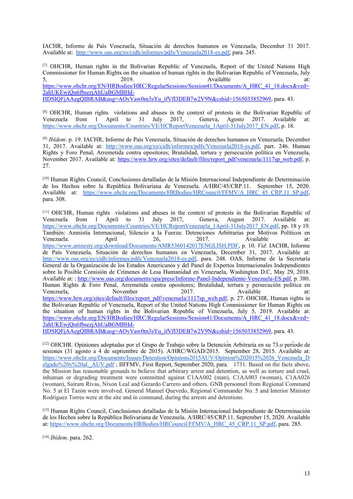IACHR, Informe de País Venezuela, Situación de derechos humanos en Venezuela, December 31 2017. Available at: <http://www.oas.org/es/cidh/informes/pdfs/Venezuela2018-es.pdf>, para. 245.

[7] OHCHR, Human rights in the Bolivarian Republic of Venezuela, Report of the United Nations High Commissioner for Human Rights on the situation of human rights in the Bolivarian Republic of Venezuela, July  $5,$  2019.  $2019.$  Available at: [https://www.ohchr.org/EN/HRBodies/HRC/RegularSessions/Session41/Documents/A\\_HRC\\_41\\_18.docx&ved=](https://www.ohchr.org/EN/HRBodies/HRC/RegularSessions/Session41/Documents/A_HRC_41_18.docx&ved=2ahUKEwjQu6fbsezjAhUaBGMBHd-HDSIQFjAAegQIBRAB&usg=AOvVaw0m3sYu_ifVfl3DEB7w2V9N&cshid=1565033852969) [2ahUKEwjQu6fbsezjAhUaBGMBHd-](https://www.ohchr.org/EN/HRBodies/HRC/RegularSessions/Session41/Documents/A_HRC_41_18.docx&ved=2ahUKEwjQu6fbsezjAhUaBGMBHd-HDSIQFjAAegQIBRAB&usg=AOvVaw0m3sYu_ifVfl3DEB7w2V9N&cshid=1565033852969)[HDSIQFjAAegQIBRAB&usg=AOvVaw0m3sYu\\_ifVfl3DEB7w2V9N&cshid=1565033852969](https://www.ohchr.org/EN/HRBodies/HRC/RegularSessions/Session41/Documents/A_HRC_41_18.docx&ved=2ahUKEwjQu6fbsezjAhUaBGMBHd-HDSIQFjAAegQIBRAB&usg=AOvVaw0m3sYu_ifVfl3DEB7w2V9N&cshid=1565033852969), para. 43.

<sup>[8]</sup> OHCHR, Human rights violations and abuses in the context of protests in the Bolivarian Republic of Venezuela from 1 April to 31 July 2017, Geneva, Agosto 2017. Available at: Venezuela from 1 April to 31 July 2017, Geneva, Agosto 2017. Available at: [https://www.ohchr.org/Documents/Countries/VE/HCReportVenezuela\\_1April-31July2017\\_EN.pdf](https://www.ohchr.org/Documents/Countries/VE/HCReportVenezuela_1April-31July2017_EN.pdf), p. 18.

<sup>[9]</sup> *Ibídem*: p. 19. IACHR, Informe de País Venezuela, Situación de derechos humanos en Venezuela, December 31, 2017. Available at: <http://www.oas.org/es/cidh/informes/pdfs/Venezuela2018-es.pdf>, parr. 246. Human Rights y Foro Penal, Arremetida contra opositores; Brutalidad, tortura y persecución política en Venezuela, November 2017. Available at: [https://www.hrw.org/sites/default/files/report\\_pdf/venezuela/1117sp\\_web.pdf](https://www.hrw.org/sites/default/files/report_pdf/venezuela/1117sp_web.pdf), p. 27.

[10] Human Rights Council, Conclusiones detalladas de la Misión Internacional Independiente de Determinación de los Hechos sobre la República Bolivariana de Venezuela. A/HRC/45/CRP.11. September 15, 2020. Available at: [https://www.ohchr.org/Documents/HRBodies/HRCouncil/FFMV/A\\_HRC\\_45\\_CRP.11\\_SP.pdf](https://www.ohchr.org/Documents/HRBodies/HRCouncil/FFMV/A_HRC_45_CRP.11_SP.pdf), para. 308.

<sup>[11]</sup> OHCHR, Human rights violations and abuses in the context of protests in the Bolivarian Republic of Venezuela from 1 April to 31 July 2017, Geneva, August 2017. Available at: Venezuela from 1 April to 31 July 2017, Geneva, August 2017. Available at: [https://www.ohchr.org/Documents/Countries/VE/HCReportVenezuela\\_1April-31July2017\\_EN.pdf](https://www.ohchr.org/Documents/Countries/VE/HCReportVenezuela_1April-31July2017_EN.pdf), pp. 18 y 19. También: Amnistía Internacional, Silencio <sup>a</sup> la Fuerza: Detenciones Arbitrarias por Motivos Políticos en Venezuela. April 26, 2017. Available at: <https://www.amnesty.org/download/Documents/AMR5360142017ENGLISH.PDF>, p. 10. *Vid*: IACHR, Informe de País Venezuela, Situación de derechos humanos en Venezuela, December 31, 2017. Available at: <http://www.oas.org/es/cidh/informes/pdfs/Venezuela2018-es.pdf>, para. 248. OAS, Informe de la Secretaría General de la Organización de los Estados Americanos y del Panel de Expertos Internacionales Independientes sobre la Posible Comisión de Crímenes de Lesa Humanidad en Venezuela, Washington D.C, May 29, 2018. Available at: : <http://www.oas.org/documents/spa/press/Informe-Panel-Independiente-Venezuela-ES.pdf>, p. 380. Human Rights & Foro Penal, Arremetida contra opositores; Brutalidad, tortura y persecución política en Venezuela, November 2017. Available at: [https://www.hrw.org/sites/default/files/report\\_pdf/venezuela/1117sp\\_web.pdf](https://www.hrw.org/sites/default/files/report_pdf/venezuela/1117sp_web.pdf), p. 27. OHCHR, Human rights in the Bolivarian Republic of Venezuela, Report of the United Nations High Commissioner for Human Rights on the situation of human rights in the Bolivarian Republic of Venezuela, July 5, 2019. Available at: [https://www.ohchr.org/EN/HRBodies/HRC/RegularSessions/Session41/Documents/A\\_HRC\\_41\\_18.docx&ved=](https://www.ohchr.org/EN/HRBodies/HRC/RegularSessions/Session41/Documents/A_HRC_41_18.docx&ved=2ahUKEwjQu6fbsezjAhUaBGMBHd-HDSIQFjAAegQIBRAB&usg=AOvVaw0m3sYu_ifVfl3DEB7w2V9N&cshid=1565033852969) [2ahUKEwjQu6fbsezjAhUaBGMBHd-](https://www.ohchr.org/EN/HRBodies/HRC/RegularSessions/Session41/Documents/A_HRC_41_18.docx&ved=2ahUKEwjQu6fbsezjAhUaBGMBHd-HDSIQFjAAegQIBRAB&usg=AOvVaw0m3sYu_ifVfl3DEB7w2V9N&cshid=1565033852969)

[HDSIQFjAAegQIBRAB&usg=AOvVaw0m3sYu\\_ifVfl3DEB7w2V9N&cshid=1565033852969](https://www.ohchr.org/EN/HRBodies/HRC/RegularSessions/Session41/Documents/A_HRC_41_18.docx&ved=2ahUKEwjQu6fbsezjAhUaBGMBHd-HDSIQFjAAegQIBRAB&usg=AOvVaw0m3sYu_ifVfl3DEB7w2V9N&cshid=1565033852969), para. 43.

[12] OHCHR. Opiniones adoptadas por el Grupo de Trabajo sobre la Detenció<sup>n</sup> Arbitraria en su 73.o período de sesiones (31 agosto <sup>a</sup> 4 de septiembre de 2015). A/HRC/WGAD/2015. September 28, 2015. Available at: [https://www.ohchr.org/Documents/Issues/Detention/Opinions2015AUV/Opinion%202015%2026\\_Venezuela\\_D](https://www.ohchr.org/Documents/Issues/Detention/Opinions2015AUV/Opinion%202015%2026_Venezuela_Delgado%20y%20al._AUV.pdf) [elgado%20y%20al.](https://www.ohchr.org/Documents/Issues/Detention/Opinions2015AUV/Opinion%202015%2026_Venezuela_Delgado%20y%20al._AUV.pdf) [AUV.pdf](https://www.ohchr.org/Documents/Issues/Detention/Opinions2015AUV/Opinion%202015%2026_Venezuela_Delgado%20y%20al._AUV.pdf) ; IIFFMV, First Report, September 2020, para. 1731: Based on the facts above, the Mission has reasonable grounds to believe that arbitrary arrest and detention, as well as torture and cruel, inhuman or degrading treatment were committed against C1AA002 (man), C1AA003 (woman), C1AA026 (woman), Sairam Rivas, Nixon Leal and Gerardo Carrero and others. GNB personnel from Regional Command No. 5 at El Tazón were involved. General Manuel Quevedo, Regional Commander No. 5 and Interior Minister Rodriguez Torres were at the site and in command, during the arrests and detentions.

[13] Human Rights Council, Conclusiones detalladas de la Misión Internacional Independiente de Determinación de los Hechos sobre la República Bolivariana de Venezuela. A/HRC/45/CRP.11. September 15, 2020. Available at: [https://www.ohchr.org/Documents/HRBodies/HRCouncil/FFMV/A\\_HRC\\_45\\_CRP.11\\_SP.pdf](https://www.ohchr.org/Documents/HRBodies/HRCouncil/FFMV/A_HRC_45_CRP.11_SP.pdf), para. 285.

[14] *Ibídem*. para. 262.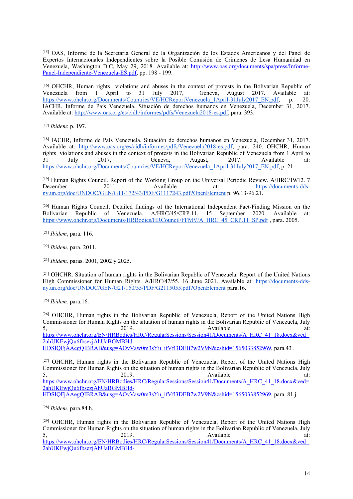[15] OAS, Informe de la Secretaría General de la Organización de los Estados Americanos <sup>y</sup> del Panel de Expertos Internacionales Independientes sobre la Posible Comisión de Crímenes de Lesa Humanidad en Venezuela, Washington D.C, May 29, 2018. Available at: [http://www.oas.org/documents/spa/press/Informe-](http://www.oas.org/documents/spa/press/Informe-Panel-Independiente-Venezuela-ES.pdf)[Panel-Independiente-Venezuela-ES.pdf](http://www.oas.org/documents/spa/press/Informe-Panel-Independiente-Venezuela-ES.pdf), pp. 198 - 199.

[16] OHCHR, Human rights violations and abuses in the context of protests in the Bolivarian Republic of Venezuela from 1 April to 31 July 2017, Geneva, August 2017. Available at:<br>https://www.ohchr.org/Documents/Countries/VE/HCReportVenezuela 1April-31July2017 EN.pdf. p. 20. https://www.ohchr.org/Documents/Countries/VE/HCReportVenezuela 1April-31July2017 EN.pdf, p. IACHR, Informe de País Venezuela, Situación de derechos humanos en Venezuela, December 31, 2017. Available at: <http://www.oas.org/es/cidh/informes/pdfs/Venezuela2018-es.pdf>, para. 393.

[17] *Ibídem*: p. 197.

[18] IACHR, Informe de País Venezuela, Situación de derechos humanos en Venezuela, December 31, 2017. Available at: <http://www.oas.org/es/cidh/informes/pdfs/Venezuela2018-es.pdf>, para. 240. OHCHR, Human rights violations and abuses in the context of protests in the Bolivarian Republic of Venezuela from 1 April to 31 July 2017, Geneva, August, 2017. Available at: [https://www.ohchr.org/Documents/Countries/VE/HCReportVenezuela\\_1April-31July2017\\_EN.pdf](https://www.ohchr.org/Documents/Countries/VE/HCReportVenezuela_1April-31July2017_EN.pdf), p. 21.

<sup>[19]</sup> Human Rights Council. Report of the Working Group on the Universal Periodic Review. A/HRC/19/12. 7<br>December 2011. Available at: https://documents-ddsat: [https://documents-dds](https://documents-dds-ny.un.org/doc/UNDOC/GEN/G11/172/43/PDF/G1117243.pdf?OpenElement)[ny.un.org/doc/UNDOC/GEN/G11/172/43/PDF/G1117243.pdf?OpenElement](https://documents-dds-ny.un.org/doc/UNDOC/GEN/G11/172/43/PDF/G1117243.pdf?OpenElement) p. 96.13-96.21.

<sup>[20]</sup> Human Rights Council, Detailed findings of the International Independent Fact-Finding Mission on the Bolivarian Republic of Venezuela. A/HRC/45/CRP.11. 15 September 2020. Available at: September 2020. Available at: [https://www.ohchr.org/Documents/HRBodies/HRCouncil/FFMV/A\\_HRC\\_45\\_CRP.11\\_SP.pdf](https://www.ohchr.org/Documents/HRBodies/HRCouncil/FFMV/A_HRC_45_CRP.11_SP.pdf), para. 2005.

[21] *Ibídem*, para. 116.

[22] *Ibídem*, para. 2011.

[23] *Ibidem,* paras. 2001, 2002 y 2025.

[24] OHCHR. Situation of human rights in the Bolivarian Republic of Venezuela. Report of the United Nations High Commissioner for Human Rights. A/HRC/47/55. 16 June 2021. Available at: [https://documents-dds](https://documents-dds-ny.un.org/doc/UNDOC/GEN/G21/150/55/PDF/G2115055.pdf?OpenElement)[ny.un.org/doc/UNDOC/GEN/G21/150/55/PDF/G2115055.pdf?OpenElement](https://documents-dds-ny.un.org/doc/UNDOC/GEN/G21/150/55/PDF/G2115055.pdf?OpenElement) para.16.

[25] *Ibídem.* para.16.

[26] OHCHR, Human rights in the Bolivarian Republic of Venezuela, Report of the United Nations High Commissioner for Human Rights on the situation of human rights in the Bolivarian Republic of Venezuela, July<br>5. 2019. Available at:  $5,$  2019.  $2019.$  Available at: [https://www.ohchr.org/EN/HRBodies/HRC/RegularSessions/Session41/Documents/A\\_HRC\\_41\\_18.docx&ved=](https://www.ohchr.org/EN/HRBodies/HRC/RegularSessions/Session41/Documents/A_HRC_41_18.docx&ved=2ahUKEwjQu6fbsezjAhUaBGMBHd-HDSIQFjAAegQIBRAB&usg=AOvVaw0m3sYu_ifVfl3DEB7w2V9N&cshid=1565033852969) [2ahUKEwjQu6fbsezjAhUaBGMBHd-](https://www.ohchr.org/EN/HRBodies/HRC/RegularSessions/Session41/Documents/A_HRC_41_18.docx&ved=2ahUKEwjQu6fbsezjAhUaBGMBHd-HDSIQFjAAegQIBRAB&usg=AOvVaw0m3sYu_ifVfl3DEB7w2V9N&cshid=1565033852969)[HDSIQFjAAegQIBRAB&usg=AOvVaw0m3sYu\\_ifVfl3DEB7w2V9N&cshid=1565033852969](https://www.ohchr.org/EN/HRBodies/HRC/RegularSessions/Session41/Documents/A_HRC_41_18.docx&ved=2ahUKEwjQu6fbsezjAhUaBGMBHd-HDSIQFjAAegQIBRAB&usg=AOvVaw0m3sYu_ifVfl3DEB7w2V9N&cshid=1565033852969), para.43 .

[27] OHCHR, Human rights in the Bolivarian Republic of Venezuela, Report of the United Nations High Commissioner for Human Rights on the situation of human rights in the Bolivarian Republic of Venezuela, July<br>5. 2019. Available at:  $5,$  2019.  $2019.$  Available at: [https://www.ohchr.org/EN/HRBodies/HRC/RegularSessions/Session41/Documents/A\\_HRC\\_41\\_18.docx&ved=](https://www.ohchr.org/EN/HRBodies/HRC/RegularSessions/Session41/Documents/A_HRC_41_18.docx&ved=2ahUKEwjQu6fbsezjAhUaBGMBHd-HDSIQFjAAegQIBRAB&usg=AOvVaw0m3sYu_ifVfl3DEB7w2V9N&cshid=1565033852969) [2ahUKEwjQu6fbsezjAhUaBGMBHd-](https://www.ohchr.org/EN/HRBodies/HRC/RegularSessions/Session41/Documents/A_HRC_41_18.docx&ved=2ahUKEwjQu6fbsezjAhUaBGMBHd-HDSIQFjAAegQIBRAB&usg=AOvVaw0m3sYu_ifVfl3DEB7w2V9N&cshid=1565033852969)[HDSIQFjAAegQIBRAB&usg=AOvVaw0m3sYu\\_ifVfl3DEB7w2V9N&cshid=1565033852969](https://www.ohchr.org/EN/HRBodies/HRC/RegularSessions/Session41/Documents/A_HRC_41_18.docx&ved=2ahUKEwjQu6fbsezjAhUaBGMBHd-HDSIQFjAAegQIBRAB&usg=AOvVaw0m3sYu_ifVfl3DEB7w2V9N&cshid=1565033852969), para. 81.j.

[28] *Ibídem.* para.84.h.

<sup>[29]</sup> OHCHR, Human rights in the Bolivarian Republic of Venezuela, Report of the United Nations High Commissioner for Human Rights on the situation of human rights in the Bolivarian Republic of Venezuela, Jul[y](https://www.ohchr.org/EN/HRBodies/HRC/RegularSessions/Session41/Documents/A_HRC_41_18.docx&ved=2ahUKEwjQu6fbsezjAhUaBGMBHd-HDSIQFjAAegQIBRAB&usg=AOvVaw0m3sYu_ifVfl3DEB7w2V9N&cshid=1565033852969)<br>5. 2019. Available at:  $5,$  2019.  $2019.$  Available at: [https://www.ohchr.org/EN/HRBodies/HRC/RegularSessions/Session41/Documents/A\\_HRC\\_41\\_18.docx&ved=](https://www.ohchr.org/EN/HRBodies/HRC/RegularSessions/Session41/Documents/A_HRC_41_18.docx&ved=2ahUKEwjQu6fbsezjAhUaBGMBHd-HDSIQFjAAegQIBRAB&usg=AOvVaw0m3sYu_ifVfl3DEB7w2V9N&cshid=1565033852969) [2ahUKEwjQu6fbsezjAhUaBGMBHd-](https://www.ohchr.org/EN/HRBodies/HRC/RegularSessions/Session41/Documents/A_HRC_41_18.docx&ved=2ahUKEwjQu6fbsezjAhUaBGMBHd-HDSIQFjAAegQIBRAB&usg=AOvVaw0m3sYu_ifVfl3DEB7w2V9N&cshid=1565033852969)